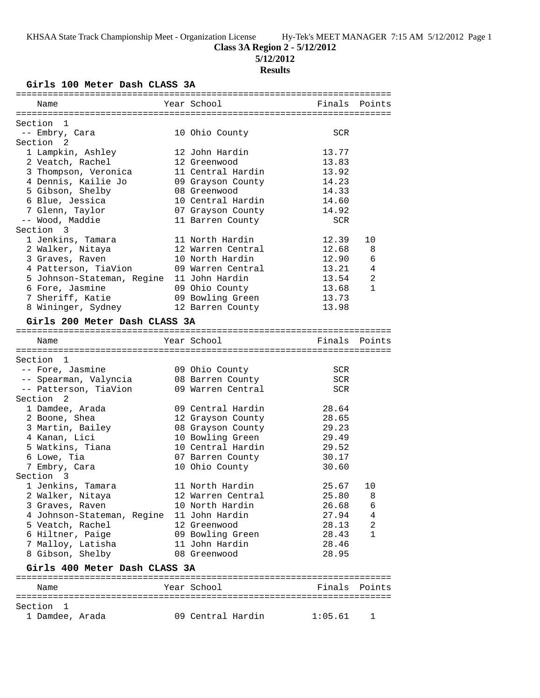# **Class 3A Region 2 - 5/12/2012**

**5/12/2012**

# **Results**

**Girls 100 Meter Dash CLASS 3A**

| Name                          | Year School                           | Finals     | Points        |
|-------------------------------|---------------------------------------|------------|---------------|
|                               |                                       |            |               |
| Section 1<br>-- Embry, Cara   | 10 Ohio County                        | SCR        |               |
| Section 2                     |                                       |            |               |
| 1 Lampkin, Ashley             | 12 John Hardin                        | 13.77      |               |
| 2 Veatch, Rachel              | 12 Greenwood                          | 13.83      |               |
| 3 Thompson, Veronica          | 11 Central Hardin                     | 13.92      |               |
| 4 Dennis, Kailie Jo           | 09 Grayson County                     | 14.23      |               |
| 5 Gibson, Shelby              | 08 Greenwood                          | 14.33      |               |
| 6 Blue, Jessica               | 10 Central Hardin                     | 14.60      |               |
| 7 Glenn, Taylor               |                                       | 14.92      |               |
| -- Wood, Maddie               | 07 Grayson County<br>11 Barren County | <b>SCR</b> |               |
| Section 3                     |                                       |            |               |
| 1 Jenkins, Tamara             | 11 North Hardin                       | 12.39      | 10            |
| 2 Walker, Nitaya              | 12 Warren Central                     | 12.68      | 8             |
| 3 Graves, Raven               | 10 North Hardin                       | 12.90      | 6             |
|                               |                                       | 13.21      |               |
| 4 Patterson, TiaVion          | 09 Warren Central                     |            | 4             |
| 5 Johnson-Stateman, Regine    | 11 John Hardin                        | 13.54      | 2             |
| 6 Fore, Jasmine               | 09 Ohio County                        | 13.68      | $\mathbf{1}$  |
| 7 Sheriff, Katie              | 09 Bowling Green                      | 13.73      |               |
| 8 Wininger, Sydney            | 12 Barren County                      | 13.98      |               |
| Girls 200 Meter Dash CLASS 3A |                                       |            |               |
|                               |                                       |            |               |
| Name                          | Year School                           |            | Finals Points |
|                               |                                       |            |               |
| Section 1                     |                                       |            |               |
| -- Fore, Jasmine              | 09 Ohio County                        | SCR        |               |
| -- Spearman, Valyncia         | 08 Barren County                      | <b>SCR</b> |               |
| -- Patterson, TiaVion         | 09 Warren Central                     | SCR        |               |
| Section <sub>2</sub>          |                                       |            |               |
| 1 Damdee, Arada               | 09 Central Hardin                     | 28.64      |               |
| 2 Boone, Shea                 | 12 Grayson County                     | 28.65      |               |
| 3 Martin, Bailey              | 08 Grayson County                     | 29.23      |               |
| 4 Kanan, Lici                 | 10 Bowling Green                      | 29.49      |               |
| 5 Watkins, Tiana              | 10 Central Hardin                     | 29.52      |               |
| 6 Lowe, Tia                   | 07 Barren County                      | 30.17      |               |
| 7 Embry, Cara                 | 10 Ohio County                        | 30.60      |               |
| Section 3                     |                                       |            |               |
| 1 Jenkins, Tamara             | 11 North Hardin                       | 25.67      | 10            |
| 2 Walker, Nitaya              | 12 Warren Central                     | 25.80      | 8             |
| 3 Graves, Raven               | 10 North Hardin                       | 26.68      | 6             |
| 4 Johnson-Stateman, Regine    | 11 John Hardin                        | 27.94      | 4             |
| 5 Veatch, Rachel              | 12 Greenwood                          | 28.13      | 2             |
| 6 Hiltner, Paige              | 09 Bowling Green                      | 28.43      | 1             |
| 7 Malloy, Latisha             | 11 John Hardin                        | 28.46      |               |
| 8 Gibson, Shelby              | 08 Greenwood                          | 28.95      |               |
| Girls 400 Meter Dash CLASS 3A |                                       |            |               |
|                               |                                       |            |               |
| Name                          | Year School                           | Finals     | Points        |
|                               |                                       |            |               |
| Section<br>1                  |                                       |            |               |
| 1 Damdee, Arada               | 09 Central Hardin                     | 1:05.61    | ı             |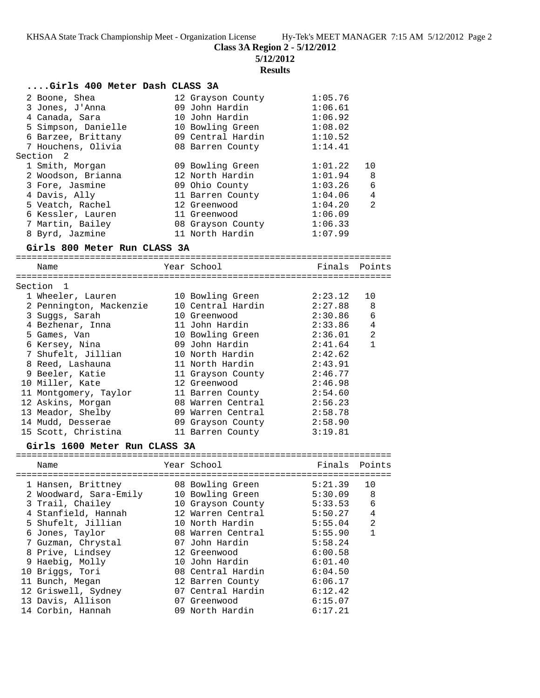**Class 3A Region 2 - 5/12/2012**

**5/12/2012**

#### **Results**

| Girls 400 Meter Dash CLASS 3A |                   |         |                |
|-------------------------------|-------------------|---------|----------------|
| 2 Boone, Shea                 | 12 Grayson County | 1:05.76 |                |
| 3 Jones, J'Anna               | 09 John Hardin    | 1:06.61 |                |
| 4 Canada, Sara                | 10 John Hardin    | 1:06.92 |                |
| 5 Simpson, Danielle           | 10 Bowling Green  | 1:08.02 |                |
| 6 Barzee, Brittany            | 09 Central Hardin | 1:10.52 |                |
| 7 Houchens, Olivia            | 08 Barren County  | 1:14.41 |                |
| Section 2                     |                   |         |                |
| 1 Smith, Morgan               | 09 Bowling Green  | 1:01.22 | 10             |
| 2 Woodson, Brianna            | 12 North Hardin   | 1:01.94 | 8              |
| 3 Fore, Jasmine               | 09 Ohio County    | 1:03.26 | 6              |
| 4 Davis, Ally                 | 11 Barren County  | 1:04.06 | $\overline{4}$ |
| 5 Veatch, Rachel              | 12 Greenwood      | 1:04.20 | $\mathfrak{D}$ |
| 6 Kessler, Lauren             | 11 Greenwood      | 1:06.09 |                |
| 7 Martin, Bailey              | 08 Grayson County | 1:06.33 |                |
| 8 Byrd, Jazmine               | 11 North Hardin   | 1:07.99 |                |

#### **Girls 800 Meter Run CLASS 3A**

======================================================================= Name Year School Finals Points ======================================================================= Section 1 1 Wheeler, Lauren 10 Bowling Green 2:23.12 10 2 Pennington, Mackenzie 10 Central Hardin 2:27.88 8 3 Suggs, Sarah 10 Greenwood 2:30.86 6 4 Bezhenar, Inna 11 John Hardin 2:33.86 4 5 Games, Van 10 Bowling Green 2:36.01 2 6 Kersey, Nina 09 John Hardin 2:41.64 1 7 Shufelt, Jillian 10 North Hardin 2:42.62 8 Reed, Lashauna 11 North Hardin 2:43.91 9 Beeler, Katie 11 Grayson County 2:46.77 10 Miller, Kate 12 Greenwood 2:46.98 11 Montgomery, Taylor 11 Barren County 2:54.60 12 Askins, Morgan 08 Warren Central 2:56.23 13 Meador, Shelby 09 Warren Central 2:58.78 14 Mudd, Desserae 09 Grayson County 2:58.90 15 Scott, Christina 11 Barren County 3:19.81

### **Girls 1600 Meter Run CLASS 3A**

| Name                   | Year School       | Finals Points |    |
|------------------------|-------------------|---------------|----|
|                        |                   |               |    |
| 1 Hansen, Brittney     | 08 Bowling Green  | 5:21.39       | 10 |
| 2 Woodward, Sara-Emily | 10 Bowling Green  | 5:30.09       | 8  |
| 3 Trail, Chailey       | 10 Grayson County | 5:33.53       | 6  |
| 4 Stanfield, Hannah    | 12 Warren Central | 5:50.27       | 4  |
| 5 Shufelt, Jillian     | 10 North Hardin   | 5:55.04       | 2  |
| 6 Jones, Taylor        | 08 Warren Central | 5:55.90       | 1  |
| 7 Guzman, Chrystal     | 07 John Hardin    | 5:58.24       |    |
| 8 Prive, Lindsey       | 12 Greenwood      | 6:00.58       |    |
| 9 Haebig, Molly        | 10 John Hardin    | 6:01.40       |    |
| 10 Briggs, Tori        | 08 Central Hardin | 6:04.50       |    |
| 11 Bunch, Megan        | 12 Barren County  | 6:06.17       |    |
| 12 Griswell, Sydney    | 07 Central Hardin | 6:12.42       |    |
| 13 Davis, Allison      | 07 Greenwood      | 6:15.07       |    |
| 14 Corbin, Hannah      | 09 North Hardin   | 6:17.21       |    |
|                        |                   |               |    |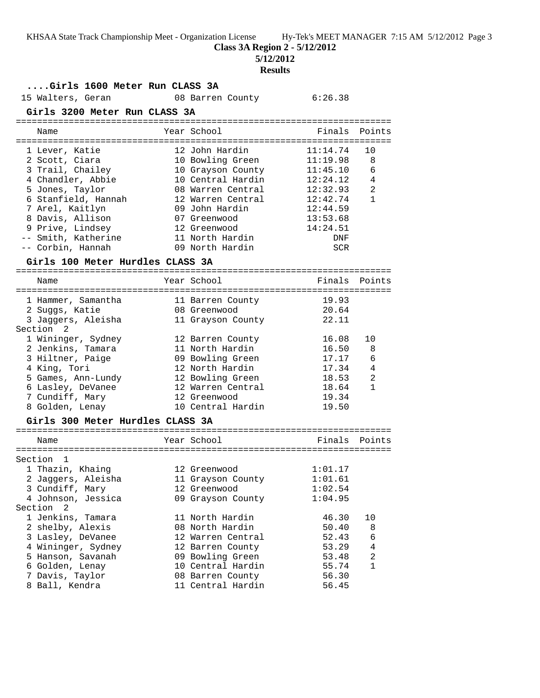**Class 3A Region 2 - 5/12/2012**

**5/12/2012**

### **Results**

## **....Girls 1600 Meter Run CLASS 3A**

15 Walters, Geran 08 Barren County 6:26.38

### **Girls 3200 Meter Run CLASS 3A**

======================================================================= Name The Year School The Finals Points ======================================================================= 1 Lever, Katie 12 John Hardin 11:14.74 10 2 Scott, Ciara 10 Bowling Green 11:19.98 8 3 Trail, Chailey 10 Grayson County 11:45.10 6 4 Chandler, Abbie 10 Central Hardin 12:24.12 4

|  | 12:32.93                                                                                                                                                                                                                                                                                              | 2                        |
|--|-------------------------------------------------------------------------------------------------------------------------------------------------------------------------------------------------------------------------------------------------------------------------------------------------------|--------------------------|
|  | 12:42.74                                                                                                                                                                                                                                                                                              | $\mathbf{1}$             |
|  | 12:44.59                                                                                                                                                                                                                                                                                              |                          |
|  | 13:53.68                                                                                                                                                                                                                                                                                              |                          |
|  | 14:24.51                                                                                                                                                                                                                                                                                              |                          |
|  | DNF                                                                                                                                                                                                                                                                                                   |                          |
|  | <b>SCR</b>                                                                                                                                                                                                                                                                                            |                          |
|  |                                                                                                                                                                                                                                                                                                       |                          |
|  | Finals                                                                                                                                                                                                                                                                                                | Points                   |
|  | 19.93                                                                                                                                                                                                                                                                                                 |                          |
|  | 20.64                                                                                                                                                                                                                                                                                                 |                          |
|  | 22.11                                                                                                                                                                                                                                                                                                 |                          |
|  |                                                                                                                                                                                                                                                                                                       |                          |
|  | 16.08                                                                                                                                                                                                                                                                                                 | 10                       |
|  | 16.50 8                                                                                                                                                                                                                                                                                               |                          |
|  | 17.17                                                                                                                                                                                                                                                                                                 | 6                        |
|  |                                                                                                                                                                                                                                                                                                       | $\overline{4}$           |
|  |                                                                                                                                                                                                                                                                                                       |                          |
|  | 08 Warren Central<br>12 Warren Central<br>09 John Hardin<br>07 Greenwood<br>12 Greenwood<br>11 North Hardin<br>09 North Hardin<br>Girls 100 Meter Hurdles CLASS 3A<br>Year School<br>11 Barren County<br>08 Greenwood<br>11 Grayson County<br>12 Barren County<br>11 North Hardin<br>09 Bowling Green | 12 North Hardin<br>17.34 |

 6 Lasley, DeVanee 12 Warren Central 18.64 1 7 Cundiff, Mary 12 Greenwood 19.34 8 Golden, Lenay 10 Central Hardin 19.50

#### **Girls 300 Meter Hurdles CLASS 3A**

| Name                      | Year School       | Finals Points |                |
|---------------------------|-------------------|---------------|----------------|
|                           |                   |               |                |
| Section<br>$\overline{1}$ |                   |               |                |
| 1 Thazin, Khaing          | 12 Greenwood      | 1:01.17       |                |
| 2 Jaggers, Aleisha        | 11 Grayson County | 1:01.61       |                |
| 3 Cundiff, Mary           | 12 Greenwood      | 1:02.54       |                |
| 4 Johnson, Jessica        | 09 Grayson County | 1:04.95       |                |
| Section 2                 |                   |               |                |
| 1 Jenkins, Tamara         | 11 North Hardin   | 46.30         | 1 O            |
| 2 shelby, Alexis          | 08 North Hardin   | 50.40         | 8              |
| 3 Lasley, DeVanee         | 12 Warren Central | 52.43         | 6              |
| 4 Wininger, Sydney        | 12 Barren County  | 53.29         | $\overline{4}$ |
| 5 Hanson, Savanah         | 09 Bowling Green  | 53.48         | $\mathfrak{D}$ |
| 6 Golden, Lenay           | 10 Central Hardin | 55.74         |                |
| 7 Davis, Taylor           | 08 Barren County  | 56.30         |                |
| 8 Ball, Kendra            | 11 Central Hardin | 56.45         |                |
|                           |                   |               |                |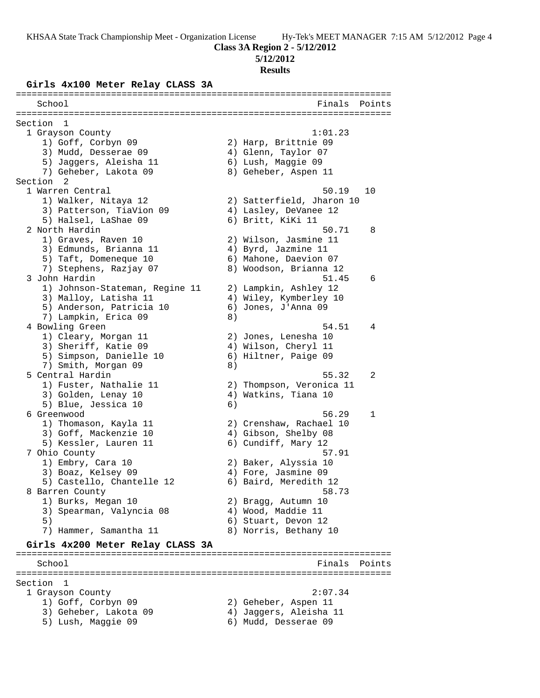**Class 3A Region 2 - 5/12/2012**

**5/12/2012**

### **Results**

### **Girls 4x100 Meter Relay CLASS 3A**

======================================================================= School **Finals Points** ======================================================================= Section 1<br>1 Grayson County 1 Grayson County 1:01.23 1) Goff, Corbyn 09 2) Harp, Brittnie 09 3) Mudd, Desserae 09 (4) Glenn, Taylor 07 5) Jaggers, Aleisha 11 6) Lush, Maggie 09 7) Geheber, Lakota 09 8) Geheber, Aspen 11 Section 2<br>1 Warren Central 1 Warren Central 50.19 10 1) Walker, Nitaya 12 2) Satterfield, Jharon 10 3) Patterson, TiaVion 09 4) Lasley, DeVanee 12 5) Halsel, LaShae 09 6) Britt, KiKi 11 2 North Hardin 50.71 8 1) Graves, Raven 10 2) Wilson, Jasmine 11 3) Edmunds, Brianna 11 4) Byrd, Jazmine 11 5) Taft, Domeneque 10 6) Mahone, Daevion 07 7) Stephens, Razjay 07 8) Woodson, Brianna 12 3 John Hardin 51.45 6 1) Johnson-Stateman, Regine 11 2) Lampkin, Ashley 12 3) Malloy, Latisha 11 4) Wiley, Kymberley 10 5) Anderson, Patricia 10 6) Jones, J'Anna 09 7) Lampkin, Erica 09 and 8) 4 Bowling Green 54.51 4 1) Cleary, Morgan 11 2) Jones, Lenesha 10 3) Sheriff, Katie 09 (4) Wilson, Cheryl 11 5) Simpson, Danielle 10 (6) Hiltner, Paige 09 7) Smith, Morgan 09 8) 5 Central Hardin 55.32 2 1) Fuster, Nathalie 11 2) Thompson, Veronica 11 3) Golden, Lenay 10 4) Watkins, Tiana 10 5) Blue, Jessica 10 (6) 6 Greenwood 56.29 1 1) Thomason, Kayla 11 2) Crenshaw, Rachael 10 3) Goff, Mackenzie 10 4) Gibson, Shelby 08 5) Kessler, Lauren 11 (6) Cundiff, Mary 12 7 Ohio County 57.91 1) Embry, Cara 10 2) Baker, Alyssia 10 3) Boaz, Kelsey 09 (4) Fore, Jasmine 09 5) Castello, Chantelle 12 6) Baird, Meredith 12 8 Barren County 58.73 1) Burks, Megan 10 2) Bragg, Autumn 10 3) Spearman, Valyncia 08  $\hskip1cm 4$ ) Wood, Maddie 11 5) 6) Stuart, Devon 12 7) Hammer, Samantha 11 8) Norris, Bethany 10 **Girls 4x200 Meter Relay CLASS 3A** ======================================================================= School **Finals** Points ======================================================================= Section 1 1 Grayson County 2:07.34 1) Goff, Corbyn 09 2) Geheber, Aspen 11 3) Geheber, Lakota 09 4) Jaggers, Aleisha 11 5) Lush, Maggie 09 6) Mudd, Desserae 09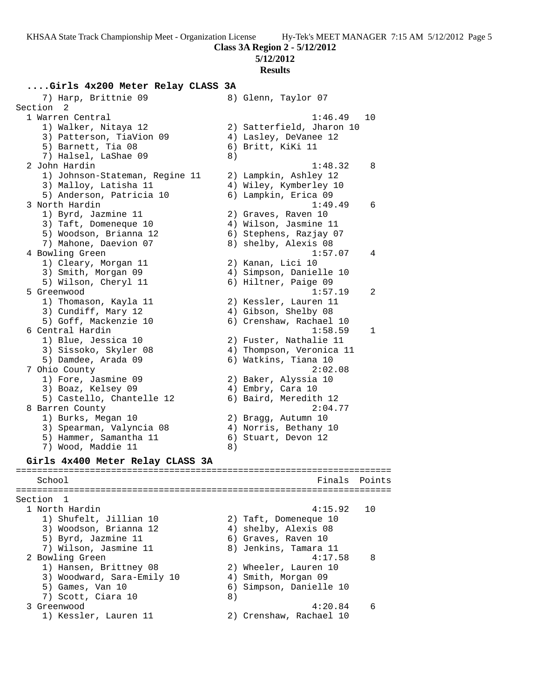**Class 3A Region 2 - 5/12/2012**

**5/12/2012**

### **Results**

## **....Girls 4x200 Meter Relay CLASS 3A**

7) Harp, Brittnie 09 8) Glenn, Taylor 07 Section 2 1 Warren Central 1:46.49 10 1) Walker, Nitaya 12 2) Satterfield, Jharon 10 3) Patterson, TiaVion 09 4) Lasley, DeVanee 12 5) Barnett, Tia 08 (6) Britt, KiKi 11 7) Halsel, LaShae 09 8) 2 John Hardin 1:48.32 8 1) Johnson-Stateman, Regine 11 2) Lampkin, Ashley 12 3) Malloy, Latisha 11 4) Wiley, Kymberley 10 5) Anderson, Patricia 10 (6) Lampkin, Erica 09 3 North Hardin 1:49.49 6 1) Byrd, Jazmine 11 and 2) Graves, Raven 10 3) Taft, Domeneque 10 4) Wilson, Jasmine 11 5) Woodson, Brianna 12 6) Stephens, Razjay 07 7) Mahone, Daevion 07 8) shelby, Alexis 08 4 Bowling Green 1:57.07 4 1) Cleary, Morgan 11 2) Kanan, Lici 10 3) Smith, Morgan 09 4) Simpson, Danielle 10 5) Wilson, Cheryl 11 (6) Hiltner, Paige 09 5 Greenwood 1:57.19 2 1) Thomason, Kayla 11 2) Kessler, Lauren 11 3) Cundiff, Mary 12 4) Gibson, Shelby 08 5) Goff, Mackenzie 10 6) Crenshaw, Rachael 10 6 Central Hardin 1:58.59 1 1) Blue, Jessica 10 2) Fuster, Nathalie 11 3) Sissoko, Skyler 08 4) Thompson, Veronica 11 5) Damdee, Arada 09 6) Watkins, Tiana 10 7 Ohio County 2:02.08 1) Fore, Jasmine 09 2) Baker, Alyssia 10 3) Boaz, Kelsey 09 4) Embry, Cara 10 5) Castello, Chantelle 12 6) Baird, Meredith 12 8 Barren County 2:04.77 1) Burks, Megan 10 2) Bragg, Autumn 10 3) Spearman, Valyncia 08 4) Norris, Bethany 10 5) Hammer, Samantha 11 (6) Stuart, Devon 12 7) Wood, Maddie 11 and 8) **Girls 4x400 Meter Relay CLASS 3A** ======================================================================= School **Finals** Points ======================================================================= Section 1 1 North Hardin 4:15.92 10 1) Shufelt, Jillian 10 2) Taft, Domeneque 10 3) Woodson, Brianna 12 4) shelby, Alexis 08 5) Byrd, Jazmine 11 6) Graves, Raven 10 7) Wilson, Jasmine 11 8) Jenkins, Tamara 11 2 Bowling Green 2 and 2 and 2 and 2 and 2 and 2 and 2 and 2 and 2 and 2 and 2 and 2 and 2 and 2 and 2 and 2 and 2 and 2 and 2 and 2 and 2 and 2 and 2 and 2 and 2 and 2 and 2 and 2 and 2 and 2 and 2 and 2 and 2 and 2 and 2 1) Hansen, Brittney 08 2) Wheeler, Lauren 10 3) Woodward, Sara-Emily 10 4) Smith, Morgan 09 5) Games, Van 10 6) Simpson, Danielle 10 7) Scott, Ciara 10 (8) 3 Greenwood 4:20.84 6 1) Kessler, Lauren 11 2) Crenshaw, Rachael 10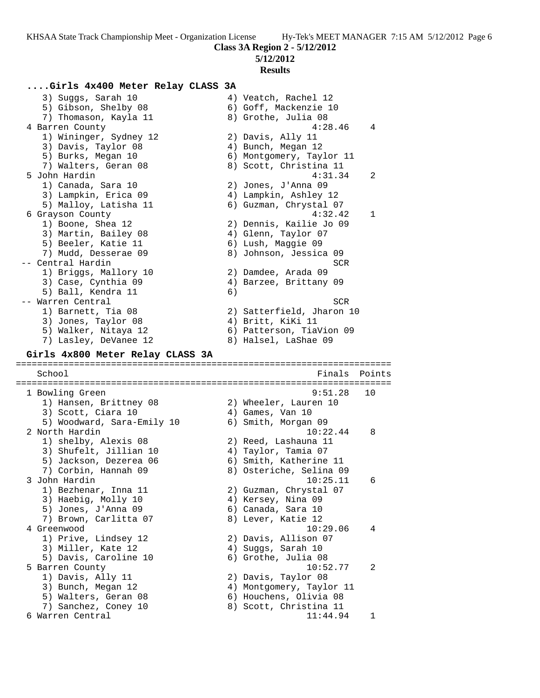**5/12/2012**

#### **Results**

### **....Girls 4x400 Meter Relay CLASS 3A**

3) Suggs, Sarah 10  $\hskip1cm \hskip1cm 4$ ) Veatch, Rachel 12 5) Gibson, Shelby 08 6) Goff, Mackenzie 10 7) Thomason, Kayla 11 and 8) Grothe, Julia 08 4 Barren County 4:28.46 4 1) Wininger, Sydney 12 2) Davis, Ally 11 3) Davis, Taylor 08 (4) Bunch, Megan 12 5) Burks, Megan 10 6) Montgomery, Taylor 11 7) Walters, Geran 08 8 8) Scott, Christina 11 5 John Hardin 4:31.34 2 1) Canada, Sara 10 2) Jones, J'Anna 09 3) Lampkin, Erica 09 4) Lampkin, Ashley 12 5) Malloy, Latisha 11 6) Guzman, Chrystal 07 6 Grayson County 4:32.42 1 1) Boone, Shea 12 2) Dennis, Kailie Jo 09 3) Martin, Bailey 08 (4) Glenn, Taylor 07 5) Beeler, Katie 11 6) Lush, Maggie 09 7) Mudd, Desserae 09 8) Johnson, Jessica 09 -- Central Hardin SCR (Senator Screen Screen Screen Screen Screen Screen Screen Screen Screen Screen Screen Screen Screen Screen Screen Screen Screen Screen Screen Screen Screen Screen Screen Screen Screen Screen Screen Sc 1) Briggs, Mallory 10 2) Damdee, Arada 09 3) Case, Cynthia 09 4) Barzee, Brittany 09 5) Ball, Kendra 11 (6) -- Warren Central SCR 1) Barnett, Tia 08 2) Satterfield, Jharon 10 3) Jones, Taylor 08 (4) Britt, KiKi 11 5) Walker, Nitaya 12 6) Patterson, TiaVion 09 7) Lasley, DeVanee 12 8) Halsel, LaShae 09 **Girls 4x800 Meter Relay CLASS 3A** ======================================================================= School **Finals Points** ======================================================================= 1 Bowling Green 9:51.28 10 1) Hansen, Brittney 08 2) Wheeler, Lauren 10 3) Scott, Ciara 10 (4) Games, Van 10 5) Woodward, Sara-Emily 10 6) Smith, Morgan 09 2 North Hardin 10:22.44 8 1) shelby, Alexis 08 2) Reed, Lashauna 11 3) Shufelt, Jillian 10 4) Taylor, Tamia 07 5) Jackson, Dezerea 06 6) Smith, Katherine 11 7) Corbin, Hannah 09 8) Osteriche, Selina 09 3 John Hardin 10:25.11 6 1) Bezhenar, Inna 11 2) Guzman, Chrystal 07 3) Haebig, Molly 10  $\hskip1cm$  4) Kersey, Nina 09 5) Jones, J'Anna 09 6) Canada, Sara 10 7) Brown, Carlitta 07 (8) Lever, Katie 12 4 Greenwood 10:29.06 4 1) Prive, Lindsey 12 2) Davis, Allison 07 3) Miller, Kate 12 (4) Suggs, Sarah 10 5) Davis, Caroline 10 (6) Grothe, Julia 08 5 Barren County 10:52.77 2 1) Davis, Ally 11 2) Davis, Taylor 08 3) Bunch, Megan 12 4) Montgomery, Taylor 11 5) Walters, Geran 08 6) Houchens, Olivia 08 7) Sanchez, Coney 10  $\hphantom{\text{2.6}}$  8) Scott, Christina 11 6 Warren Central 11:44.94 1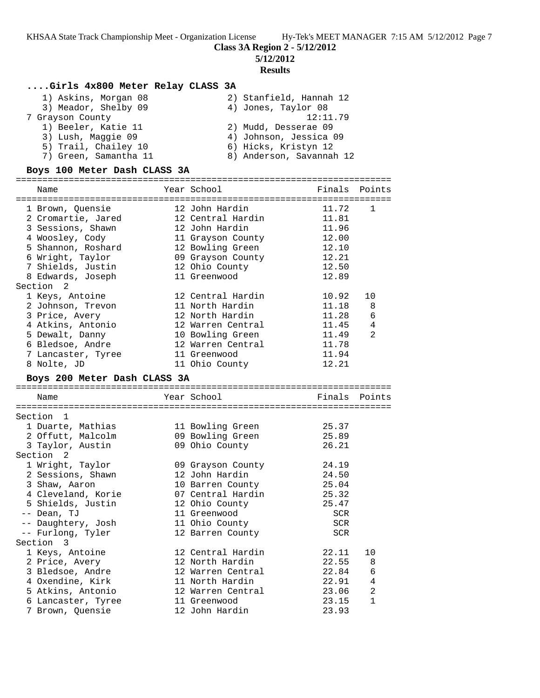**5/12/2012**

## **Results**

# **....Girls 4x800 Meter Relay CLASS 3A**

| 1) Askins, Morgan 08  | 2) Stanfield, Hannah 12  |
|-----------------------|--------------------------|
| 3) Meador, Shelby 09  | 4) Jones, Taylor 08      |
| 7 Grayson County      | 12:11.79                 |
| 1) Beeler, Katie 11   | 2) Mudd, Desserae 09     |
| 3) Lush, Maggie 09    | 4) Johnson, Jessica 09   |
| 5) Trail, Chailey 10  | 6) Hicks, Kristyn 12     |
| 7) Green, Samantha 11 | 8) Anderson, Savannah 12 |

## **Boys 100 Meter Dash CLASS 3A**

| Name                         | Year School       | Finals     | Points        |
|------------------------------|-------------------|------------|---------------|
|                              | 12 John Hardin    | 11.72      | $\mathbf{1}$  |
| 1 Brown, Ouensie             |                   |            |               |
| 2 Cromartie, Jared           | 12 Central Hardin | 11.81      |               |
| 3 Sessions, Shawn            | 12 John Hardin    | 11.96      |               |
| 4 Woosley, Cody              | 11 Grayson County | 12.00      |               |
| 5 Shannon, Roshard           | 12 Bowling Green  | 12.10      |               |
| 6 Wright, Taylor             | 09 Grayson County | 12.21      |               |
| 7 Shields, Justin            | 12 Ohio County    | 12.50      |               |
| 8 Edwards, Joseph            | 11 Greenwood      | 12.89      |               |
| Section 2                    |                   |            |               |
| 1 Keys, Antoine              | 12 Central Hardin | 10.92      | 10            |
| 2 Johnson, Trevon            | 11 North Hardin   | 11.18      | 8             |
| 3 Price, Avery               | 12 North Hardin   | 11.28      | 6             |
| 4 Atkins, Antonio            | 12 Warren Central | 11.45      | 4             |
| 5 Dewalt, Danny              | 10 Bowling Green  | 11.49      | 2             |
| 6 Bledsoe, Andre             | 12 Warren Central | 11.78      |               |
| 7 Lancaster, Tyree           | 11 Greenwood      | 11.94      |               |
| 8 Nolte, JD                  | 11 Ohio County    | 12.21      |               |
| Boys 200 Meter Dash CLASS 3A |                   |            |               |
|                              |                   |            |               |
| Name                         | Year School       |            | Finals Points |
|                              |                   |            |               |
| Section 1                    |                   |            |               |
| 1 Duarte, Mathias            | 11 Bowling Green  | 25.37      |               |
| 2 Offutt, Malcolm            | 09 Bowling Green  | 25.89      |               |
| 3 Taylor, Austin             | 09 Ohio County    | 26.21      |               |
| Section 2                    |                   |            |               |
| 1 Wright, Taylor             | 09 Grayson County | 24.19      |               |
| 2 Sessions, Shawn            | 12 John Hardin    | 24.50      |               |
| 3 Shaw, Aaron                | 10 Barren County  | 25.04      |               |
| 4 Cleveland, Korie           | 07 Central Hardin | 25.32      |               |
| 5 Shields, Justin            | 12 Ohio County    | 25.47      |               |
| -- Dean, TJ                  | 11 Greenwood      | SCR        |               |
| -- Daughtery, Josh           | 11 Ohio County    | <b>SCR</b> |               |
| -- Furlong, Tyler            | 12 Barren County  | <b>SCR</b> |               |
| Section 3                    |                   |            |               |
| 1 Keys, Antoine              | 12 Central Hardin | 22.11      | 10            |
| 2 Price, Avery               | 12 North Hardin   | 22.55      | 8             |
| 3 Bledsoe, Andre             | 12 Warren Central | 22.84      | 6             |
| 4 Oxendine, Kirk             | 11 North Hardin   | 22.91      | 4             |
| 5 Atkins, Antonio            | 12 Warren Central | 23.06      | 2             |
| 6 Lancaster, Tyree           | 11 Greenwood      | 23.15      | $\mathbf{1}$  |
| 7 Brown, Quensie             | 12 John Hardin    | 23.93      |               |
|                              |                   |            |               |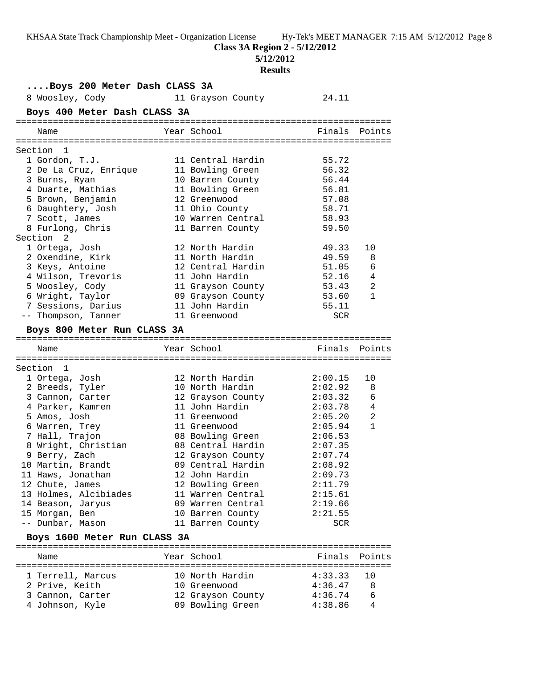**Class 3A Region 2 - 5/12/2012**

**5/12/2012**

# **Results**

| Boys 200 Meter Dash CLASS 3A |  |                   |               |              |  |  |  |
|------------------------------|--|-------------------|---------------|--------------|--|--|--|
| 8 Woosley, Cody              |  | 11 Grayson County | 24.11         |              |  |  |  |
| Boys 400 Meter Dash CLASS 3A |  |                   |               |              |  |  |  |
| Name                         |  | Year School       | Finals Points |              |  |  |  |
| Section 1                    |  |                   |               |              |  |  |  |
| 1 Gordon, T.J.               |  | 11 Central Hardin | 55.72         |              |  |  |  |
| 2 De La Cruz, Enrique        |  | 11 Bowling Green  | 56.32         |              |  |  |  |
| 3 Burns, Ryan                |  | 10 Barren County  | 56.44         |              |  |  |  |
| 4 Duarte, Mathias            |  | 11 Bowling Green  | 56.81         |              |  |  |  |
| 5 Brown, Benjamin            |  | 12 Greenwood      | 57.08         |              |  |  |  |
| 6 Daughtery, Josh            |  | 11 Ohio County    | 58.71         |              |  |  |  |
| 7 Scott, James               |  | 10 Warren Central | 58.93         |              |  |  |  |
| 8 Furlong, Chris             |  | 11 Barren County  | 59.50         |              |  |  |  |
| Section 2                    |  |                   |               |              |  |  |  |
| 1 Ortega, Josh               |  | 12 North Hardin   | 49.33         | 10           |  |  |  |
| 2 Oxendine, Kirk             |  | 11 North Hardin   | 49.59         | 8            |  |  |  |
| 3 Keys, Antoine              |  | 12 Central Hardin | 51.05         | 6            |  |  |  |
| 4 Wilson, Trevoris           |  | 11 John Hardin    | 52.16         | 4            |  |  |  |
| 5 Woosley, Cody              |  | 11 Grayson County | 53.43         | 2            |  |  |  |
| 6 Wright, Taylor             |  | 09 Grayson County | 53.60         | $\mathbf{1}$ |  |  |  |
| 7 Sessions, Darius           |  | 11 John Hardin    | 55.11         |              |  |  |  |
| -- Thompson, Tanner          |  | 11 Greenwood      | SCR           |              |  |  |  |
|                              |  |                   |               |              |  |  |  |
| Boys 800 Meter Run CLASS 3A  |  |                   |               |              |  |  |  |
| Name                         |  | Year School       | Finals        | Points       |  |  |  |
|                              |  |                   |               |              |  |  |  |
| Section 1                    |  |                   |               |              |  |  |  |
| 1 Ortega, Josh               |  | 12 North Hardin   | 2:00.15       | 10           |  |  |  |
| 2 Breeds, Tyler              |  | 10 North Hardin   | 2:02.92       | 8            |  |  |  |
| 3 Cannon, Carter             |  | 12 Grayson County | 2:03.32       | 6            |  |  |  |
| 4 Parker, Kamren             |  | 11 John Hardin    | 2:03.78       | 4            |  |  |  |
| 5 Amos, Josh                 |  | 11 Greenwood      | 2:05.20       | 2            |  |  |  |
| 6 Warren, Trey               |  | 11 Greenwood      | 2:05.94       | $\mathbf{1}$ |  |  |  |
| 7 Hall, Trajon               |  | 08 Bowling Green  | 2:06.53       |              |  |  |  |
| 8 Wright, Christian          |  | 08 Central Hardin | 2:07.35       |              |  |  |  |
| 9 Berry, Zach                |  | 12 Grayson County | 2:07.74       |              |  |  |  |
| 10 Martin, Brandt            |  | 09 Central Hardin | 2:08.92       |              |  |  |  |
| 11 Haws, Jonathan            |  | 12 John Hardin    | 2:09.73       |              |  |  |  |
| 12 Chute, James              |  | 12 Bowling Green  | 2:11.79       |              |  |  |  |
| 13 Holmes, Alcibiades        |  | 11 Warren Central | 2:15.61       |              |  |  |  |
| 14 Beason, Jaryus            |  | 09 Warren Central | 2:19.66       |              |  |  |  |
| 15 Morgan, Ben               |  | 10 Barren County  | 2:21.55       |              |  |  |  |
| -- Dunbar, Mason             |  | 11 Barren County  | SCR           |              |  |  |  |
|                              |  |                   |               |              |  |  |  |
| Boys 1600 Meter Run CLASS 3A |  |                   |               |              |  |  |  |
| Name                         |  | Year School       | Finals        | Points       |  |  |  |
|                              |  |                   |               |              |  |  |  |
| 1 Terrell, Marcus            |  | 10 North Hardin   | 4:33.33       | 10           |  |  |  |
| 2 Prive, Keith               |  | 10 Greenwood      | 4:36.47       | 8            |  |  |  |
| 3 Cannon, Carter             |  | 12 Grayson County | 4:36.74       | 6            |  |  |  |
| 4 Johnson, Kyle              |  | 09 Bowling Green  | 4:38.86       | 4            |  |  |  |
|                              |  |                   |               |              |  |  |  |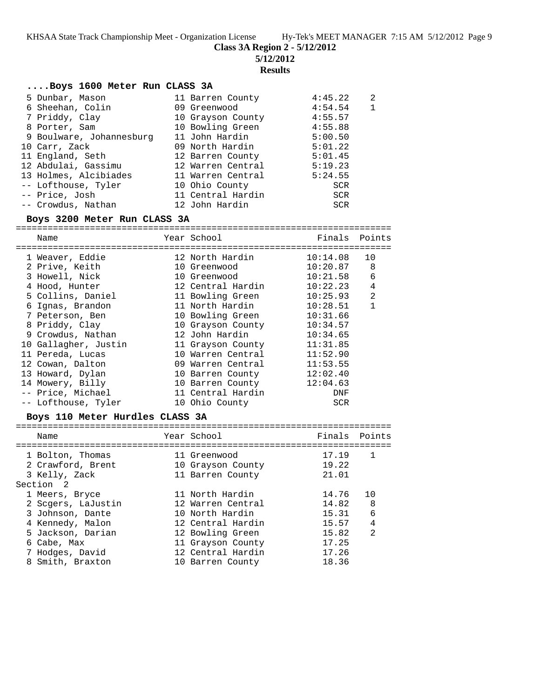**Class 3A Region 2 - 5/12/2012**

**5/12/2012**

**Results**

## **....Boys 1600 Meter Run CLASS 3A**

| 5 Dunbar, Mason          | 11 Barren County  | 4:45.22    | 2            |
|--------------------------|-------------------|------------|--------------|
| 6 Sheehan, Colin         | 09 Greenwood      | 4:54.54    | $\mathbf{1}$ |
| 7 Priddy, Clay           | 10 Grayson County | 4:55.57    |              |
| 8 Porter, Sam            | 10 Bowling Green  | 4:55.88    |              |
| 9 Boulware, Johannesburg | 11 John Hardin    | 5:00.50    |              |
| 10 Carr, Zack            | 09 North Hardin   | 5:01.22    |              |
| 11 England, Seth         | 12 Barren County  | 5:01.45    |              |
| 12 Abdulai, Gassimu      | 12 Warren Central | 5:19.23    |              |
| 13 Holmes, Alcibiades    | 11 Warren Central | 5:24.55    |              |
| -- Lofthouse, Tyler      | 10 Ohio County    | SCR        |              |
| -- Price, Josh           | 11 Central Hardin | SCR        |              |
| -- Crowdus, Nathan       | 12 John Hardin    | <b>SCR</b> |              |

### **Boys 3200 Meter Run CLASS 3A**

======================================================================= Name The Year School Team Points Points ======================================================================= 1 Weaver, Eddie 12 North Hardin 10:14.08 10 2 Prive, Keith 10 Greenwood 10:20.87 8 3 Howell, Nick 10 Greenwood 10:21.58 6 4 Hood, Hunter 12 Central Hardin 10:22.23 4 5 Collins, Daniel 11 Bowling Green 10:25.93 2 6 Ignas, Brandon 11 North Hardin 10:28.51 1 7 Peterson, Ben 10 Bowling Green 10:31.66 8 Priddy, Clay 10 Grayson County 10:34.57 9 Crowdus, Nathan 12 John Hardin 10:34.65 10 Gallagher, Justin 11 Grayson County 11:31.85 11 Pereda, Lucas 10 Warren Central 11:52.90 12 Cowan, Dalton 09 Warren Central 11:53.55 13 Howard, Dylan 10 Barren County 12:02.40 14 Mowery, Billy 10 Barren County 12:04.63 -- Price, Michael 11 Central Hardin DNF -- Lofthouse, Tyler 10 Ohio County SCR

## **Boys 110 Meter Hurdles CLASS 3A**

| Name                                                                                                                                                    | Year School                                                                                                                                                    | Finals Points                                                        |                                     |
|---------------------------------------------------------------------------------------------------------------------------------------------------------|----------------------------------------------------------------------------------------------------------------------------------------------------------------|----------------------------------------------------------------------|-------------------------------------|
| 1 Bolton, Thomas<br>2 Crawford, Brent<br>3 Kelly, Zack<br>Section 2                                                                                     | 11 Greenwood<br>10 Grayson County<br>11 Barren County                                                                                                          | 17.19<br>19.22<br>21.01                                              | 1                                   |
| 1 Meers, Bryce<br>2 Scgers, LaJustin<br>3 Johnson, Dante<br>4 Kennedy, Malon<br>5 Jackson, Darian<br>6 Cabe, Max<br>7 Hodges, David<br>8 Smith, Braxton | 11 North Hardin<br>12 Warren Central<br>10 North Hardin<br>12 Central Hardin<br>12 Bowling Green<br>11 Grayson County<br>12 Central Hardin<br>10 Barren County | 14.76<br>14.82<br>15.31<br>15.57<br>15.82<br>17.25<br>17.26<br>18.36 | 10<br>8<br>6<br>4<br>$\mathfrak{D}$ |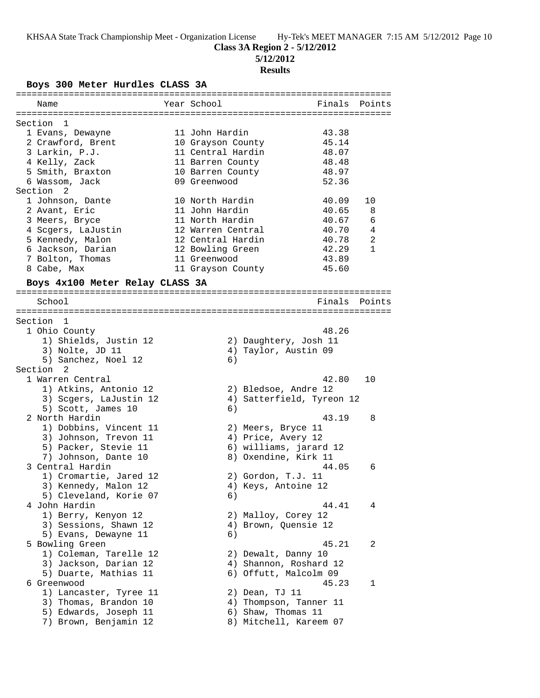**5/12/2012**

## **Results**

**Boys 300 Meter Hurdles CLASS 3A**

| Name                            | Year School       |                           | Finals Points |
|---------------------------------|-------------------|---------------------------|---------------|
|                                 |                   |                           |               |
| Section 1                       |                   |                           |               |
| 1 Evans, Dewayne                | 11 John Hardin    | 43.38                     |               |
| 2 Crawford, Brent               | 10 Grayson County | 45.14                     |               |
| 3 Larkin, P.J.                  | 11 Central Hardin | 48.07                     |               |
| 4 Kelly, Zack                   | 11 Barren County  | 48.48                     |               |
| 5 Smith, Braxton                | 10 Barren County  | 48.97                     |               |
| 6 Wassom, Jack                  | 09 Greenwood      | 52.36                     |               |
| Section 2                       |                   |                           |               |
|                                 |                   |                           |               |
| 1 Johnson, Dante                | 10 North Hardin   | 40.09                     | 10            |
| 2 Avant, Eric                   | 11 John Hardin    | 40.65                     | 8             |
| 3 Meers, Bryce                  | 11 North Hardin   | 40.67                     | 6             |
| 4 Scgers, LaJustin              | 12 Warren Central | 40.70                     | 4             |
| 5 Kennedy, Malon                | 12 Central Hardin | 40.78                     | 2             |
| 6 Jackson, Darian               | 12 Bowling Green  | 42.29                     | $\mathbf{1}$  |
| 7 Bolton, Thomas                | 11 Greenwood      | 43.89                     |               |
| 8 Cabe, Max                     | 11 Grayson County | 45.60                     |               |
|                                 |                   |                           |               |
| Boys 4x100 Meter Relay CLASS 3A |                   |                           |               |
|                                 |                   |                           |               |
| School                          |                   | Finals                    | Points        |
|                                 |                   |                           |               |
| Section 1                       |                   |                           |               |
| 1 Ohio County                   |                   | 48.26                     |               |
| 1) Shields, Justin 12           |                   | 2) Daughtery, Josh 11     |               |
| 3) Nolte, JD 11                 |                   | 4) Taylor, Austin 09      |               |
| 5) Sanchez, Noel 12             | 6)                |                           |               |
| Section 2                       |                   |                           |               |
| 1 Warren Central                |                   | 42.80                     | 10            |
| 1) Atkins, Antonio 12           |                   | 2) Bledsoe, Andre 12      |               |
| 3) Scgers, LaJustin 12          |                   | 4) Satterfield, Tyreon 12 |               |
| 5) Scott, James 10              | 6)                |                           |               |
| 2 North Hardin                  |                   | 43.19                     | 8             |
| 1) Dobbins, Vincent 11          |                   | 2) Meers, Bryce 11        |               |
| 3) Johnson, Trevon 11           |                   | 4) Price, Avery 12        |               |
| 5) Packer, Stevie 11            |                   | 6) williams, jarard 12    |               |
| 7) Johnson, Dante 10            |                   | 8) Oxendine, Kirk 11      |               |
| 3 Central Hardin                |                   | 44.05                     | 6             |
| 1) Cromartie, Jared 12          |                   |                           |               |
|                                 |                   | 2) Gordon, T.J. 11        |               |
| 3) Kennedy, Malon 12            |                   | 4) Keys, Antoine 12       |               |
| 5) Cleveland, Korie 07          | 6)                |                           |               |
| 4 John Hardin                   |                   | 44.41                     | 4             |
| 1) Berry, Kenyon 12             |                   | 2) Malloy, Corey 12       |               |
| 3) Sessions, Shawn 12           |                   | 4) Brown, Quensie 12      |               |
| 5) Evans, Dewayne 11            | 6)                |                           |               |
| 5 Bowling Green                 |                   | 45.21                     | 2             |
| 1) Coleman, Tarelle 12          |                   | 2) Dewalt, Danny 10       |               |
| 3) Jackson, Darian 12           |                   | 4) Shannon, Roshard 12    |               |
| 5) Duarte, Mathias 11           |                   | 6) Offutt, Malcolm 09     |               |
| 6 Greenwood                     |                   | 45.23                     | 1             |
| 1) Lancaster, Tyree 11          |                   | 2) Dean, TJ 11            |               |
| 3) Thomas, Brandon 10           |                   | 4) Thompson, Tanner 11    |               |
| 5) Edwards, Joseph 11           |                   | 6) Shaw, Thomas 11        |               |
| 7) Brown, Benjamin 12           |                   | 8) Mitchell, Kareem 07    |               |
|                                 |                   |                           |               |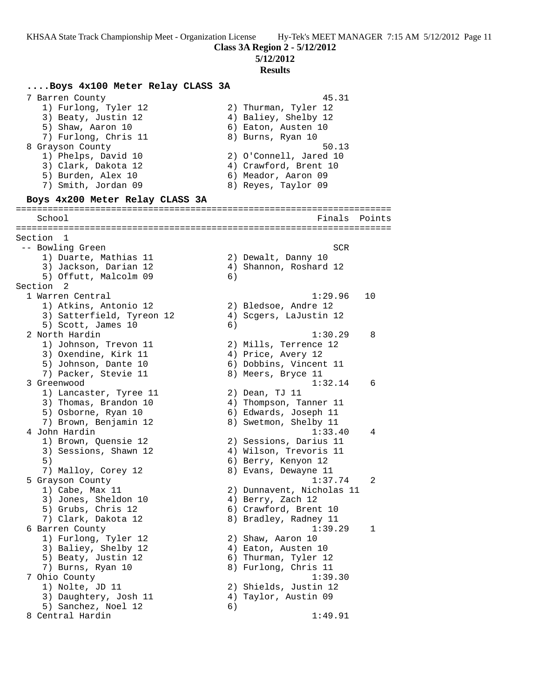**....Boys 4x100 Meter Relay CLASS 3A**

**Class 3A Region 2 - 5/12/2012**

**5/12/2012**

#### **Results**

 7 Barren County 45.31 1) Furlong, Tyler 12 2) Thurman, Tyler 12 3) Beaty, Justin 12 (4) Baliey, Shelby 12 5) Shaw, Aaron 10 6) Eaton, Austen 10 7) Furlong, Chris 11 and 8) Burns, Ryan 10 8 Grayson County **50.13**  1) Phelps, David 10 2) O'Connell, Jared 10 3) Clark, Dakota 12 4) Crawford, Brent 10 5) Burden, Alex 10 (6) Meador, Aaron 09 7) Smith, Jordan 09 8) Reyes, Taylor 09 **Boys 4x200 Meter Relay CLASS 3A** ======================================================================= School **Finals** Points ======================================================================= Section 1 -- Bowling Green SCR and the SCR state of the SCR state of the SCR state of the SCR 1) Duarte, Mathias 11 and 2) Dewalt, Danny 10 3) Jackson, Darian 12 4) Shannon, Roshard 12 5) Offutt, Malcolm 09 6) Section 2<br>1 Warren Central 1 Warren Central 1:29.96 10 1) Atkins, Antonio 12 2) Bledsoe, Andre 12 3) Satterfield, Tyreon 12 4) Scgers, LaJustin 12 5) Scott, James 10 (6) 2 North Hardin 1:30.29 8 1) Johnson, Trevon 11 2) Mills, Terrence 12 3) Oxendine, Kirk 11 (4) Price, Avery 12 5) Johnson, Dante 10 6) Dobbins, Vincent 11 7) Packer, Stevie 11 and 8) Meers, Bryce 11 3 Greenwood 1:32.14 6 1) Lancaster, Tyree 11 and 2) Dean, TJ 11 3) Thomas, Brandon 10 4) Thompson, Tanner 11 5) Osborne, Ryan 10 6) Edwards, Joseph 11 7) Brown, Benjamin 12 8) Swetmon, Shelby 11 4 John Hardin 1:33.40 4 1) Brown, Quensie 12 2) Sessions, Darius 11 3) Sessions, Shawn 12 4) Wilson, Trevoris 11 5) 6) Berry, Kenyon 12 7) Malloy, Corey 12 (8) Evans, Dewayne 11 5 Grayson County 1:37.74 2 1) Cabe, Max 11 2) Dunnavent, Nicholas 11 3) Jones, Sheldon 10 (4) Berry, Zach 12 5) Grubs, Chris 12 6) Crawford, Brent 10 7) Clark, Dakota 12 8) Bradley, Radney 11 6 Barren County 1:39.29 1 1) Furlong, Tyler 12 2) Shaw, Aaron 10 3) Baliey, Shelby 12 (4) Eaton, Austen 10 5) Beaty, Justin 12 (6) Thurman, Tyler 12 7) Burns, Ryan 10 8) Furlong, Chris 11 7 Ohio County 1:39.30 1) Nolte, JD 11 2) Shields, Justin 12 3) Daughtery, Josh 11  $\hskip10mm$  4) Taylor, Austin 09 5) Sanchez, Noel 12 (6) 8 Central Hardin 1:49.91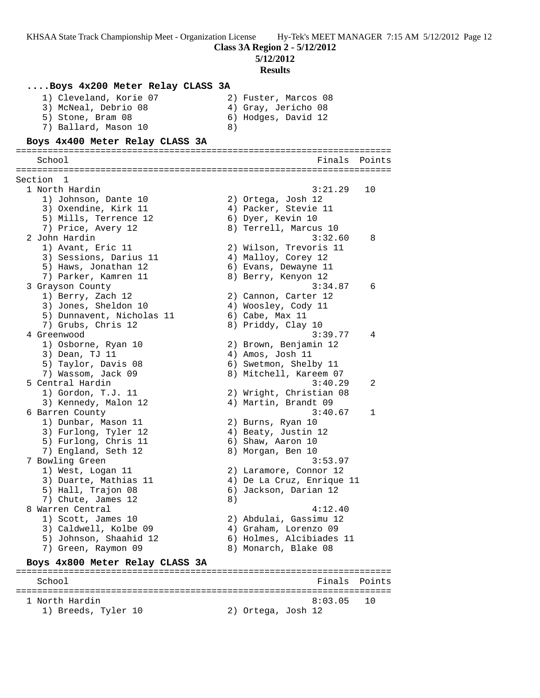**5/12/2012**

**Results**

## **....Boys 4x200 Meter Relay CLASS 3A** 1) Cleveland, Korie 07 (2) Fuster, Marcos 08 3) McNeal, Debrio 08 (4) Gray, Jericho 08 5) Stone, Bram 08 6) Hodges, David 12 7) Ballard, Mason 10 8) **Boys 4x400 Meter Relay CLASS 3A** ======================================================================= School **Finals Points** ======================================================================= Section 1 1 North Hardin 3:21.29 10 1) Johnson, Dante 10 2) Ortega, Josh 12 3) Oxendine, Kirk 11  $\qquad \qquad$  4) Packer, Stevie 11 5) Mills, Terrence 12 (6) Dyer, Kevin 10 7) Price, Avery 12 8) Terrell, Marcus 10 2 John Hardin 3:32.60 8 1) Avant, Eric 11 2) Wilson, Trevoris 11 3) Sessions, Darius 11 (4) Malloy, Corey 12 5) Haws, Jonathan 12 (6) Evans, Dewayne 11 7) Parker, Kamren 11 8) Berry, Kenyon 12 3 Grayson County 3:34.87 6 1) Berry, Zach 12 2) Cannon, Carter 12 3) Jones, Sheldon 10 4) Woosley, Cody 11 5) Dunnavent, Nicholas 11 (6) Cabe, Max 11 7) Grubs, Chris 12 8) Priddy, Clay 10 4 Greenwood 3:39.77 4 1) Osborne, Ryan 10 2) Brown, Benjamin 12 3) Dean, TJ 11 (2008) 4) Amos, Josh 11 5) Taylor, Davis 08 6) Swetmon, Shelby 11 7) Wassom, Jack 09 8) Mitchell, Kareem 07 5 Central Hardin 3:40.29 2 1) Gordon, T.J. 11 2) Wright, Christian 08 3) Kennedy, Malon 12 (4) Martin, Brandt 09 6 Barren County 3:40.67 1 1) Dunbar, Mason 11 2) Burns, Ryan 10 3) Furlong, Tyler 12 (4) Beaty, Justin 12 5) Furlong, Chris 11 6) Shaw, Aaron 10 7) England, Seth 12 and 8) Morgan, Ben 10 7 Bowling Green 3:53.97 1) West, Logan 11 2) Laramore, Connor 12 3) Duarte, Mathias 11 4) De La Cruz, Enrique 11 5) Hall, Trajon 08 6) Jackson, Darian 12 7) Chute, James 12 (8) 8 Warren Central (1999) 4:12.40 1) Scott, James 10 2) Abdulai, Gassimu 12 3) Caldwell, Kolbe 09 4) Graham, Lorenzo 09 5) Johnson, Shaahid 12 6) Holmes, Alcibiades 11 7) Green, Raymon 09 8) Monarch, Blake 08 **Boys 4x800 Meter Relay CLASS 3A** ======================================================================= School **Finals** Points **Points** =======================================================================

1 North Hardin 8:03.05 10

1) Breeds, Tyler 10 2) Ortega, Josh 12